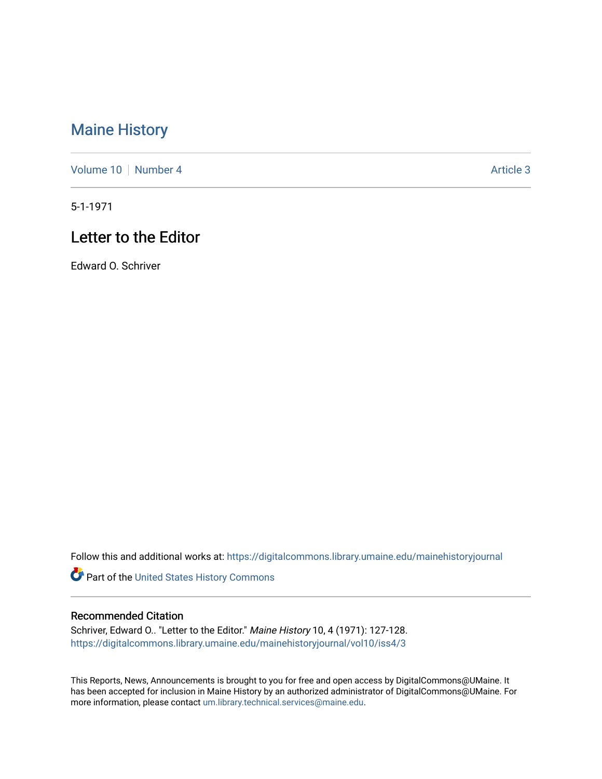## [Maine History](https://digitalcommons.library.umaine.edu/mainehistoryjournal)

[Volume 10](https://digitalcommons.library.umaine.edu/mainehistoryjournal/vol10) [Number 4](https://digitalcommons.library.umaine.edu/mainehistoryjournal/vol10/iss4) Article 3

5-1-1971

## Letter to the Editor

Edward O. Schriver

Follow this and additional works at: [https://digitalcommons.library.umaine.edu/mainehistoryjournal](https://digitalcommons.library.umaine.edu/mainehistoryjournal?utm_source=digitalcommons.library.umaine.edu%2Fmainehistoryjournal%2Fvol10%2Fiss4%2F3&utm_medium=PDF&utm_campaign=PDFCoverPages) 

Part of the [United States History Commons](http://network.bepress.com/hgg/discipline/495?utm_source=digitalcommons.library.umaine.edu%2Fmainehistoryjournal%2Fvol10%2Fiss4%2F3&utm_medium=PDF&utm_campaign=PDFCoverPages) 

## Recommended Citation

Schriver, Edward O.. "Letter to the Editor." Maine History 10, 4 (1971): 127-128. [https://digitalcommons.library.umaine.edu/mainehistoryjournal/vol10/iss4/3](https://digitalcommons.library.umaine.edu/mainehistoryjournal/vol10/iss4/3?utm_source=digitalcommons.library.umaine.edu%2Fmainehistoryjournal%2Fvol10%2Fiss4%2F3&utm_medium=PDF&utm_campaign=PDFCoverPages)

This Reports, News, Announcements is brought to you for free and open access by DigitalCommons@UMaine. It has been accepted for inclusion in Maine History by an authorized administrator of DigitalCommons@UMaine. For more information, please contact [um.library.technical.services@maine.edu](mailto:um.library.technical.services@maine.edu).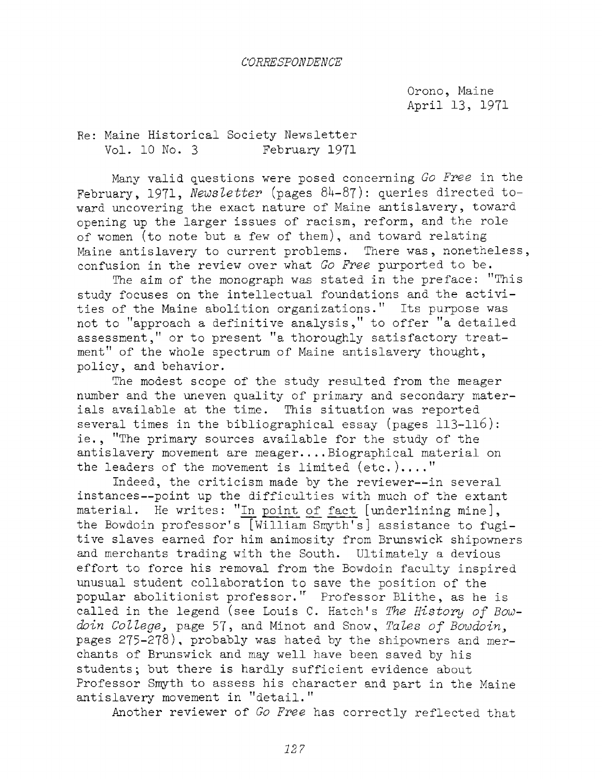Orono, Maine April 13, 1971

Re: Maine Historical Society Newsletter Vol. 10 No. <sup>3</sup> February 1971

Many valid questions were posed concerning *Go Free* in the February, 1971, *Newsletter* (pages 84-87): queries directed toward uncovering the exact nature of Maine antislavery, toward opening up the larger issues of racism, reform, and the role of women (to note but a few of them), and toward relating Maine antislavery to current problems. There was, nonetheless, confusion in the review over what *Go Free* purported to be.

The aim of the monograph was stated in the preface: "This study focuses on the intellectual foundations and the activities of the Maine abolition organizations." Its purpose was not to "approach <sup>a</sup> definitive analysis," to offer "a detailed assessment," or to present "a thoroughly satisfactory treatment" of the whole spectrum of Maine antislavery thought, policy, and behavior.

The modest scope of the study resulted from the meager number and the uneven quality of primary and secondary materials available at the time. This situation was reported several times in the bibliographical essay (pages 113-116): ie. , "The primary sources available for the study of the antislavery movement are meager.... Biographical material on the leaders of the movement is limited (etc.)...."

Indeed, the criticism made by the reviewer—in several instances—point up the difficulties with much of the extant material. He writes: "In point of fact [underlining mine], the Bowdoin professor'<sup>s</sup> [William Smyth's] assistance to fugitive slaves earned for him animosity from Brunswick shipowners and merchants trading with the South. Ultimately a devious effort to force his removal from the Bowdoin faculty inspired unusual student collaboration to save the position of the popular abolitionist professor."' Professor Blithe, as he is called in the legend (see Louis C. Hatch'<sup>s</sup> *The History of Bowdoin College,* page 57> and Minot and Snow, *Tales of Bowdoin,* pages 275-278), probably was hated by the shipowners and merchants of Brunswick and may well have been saved by his students; but there is hardly sufficient evidence about Professor Smyth to assess his character and part in the Maine antislavery movement in "detail."

Another reviewer of *Go Free* has correctly reflected that